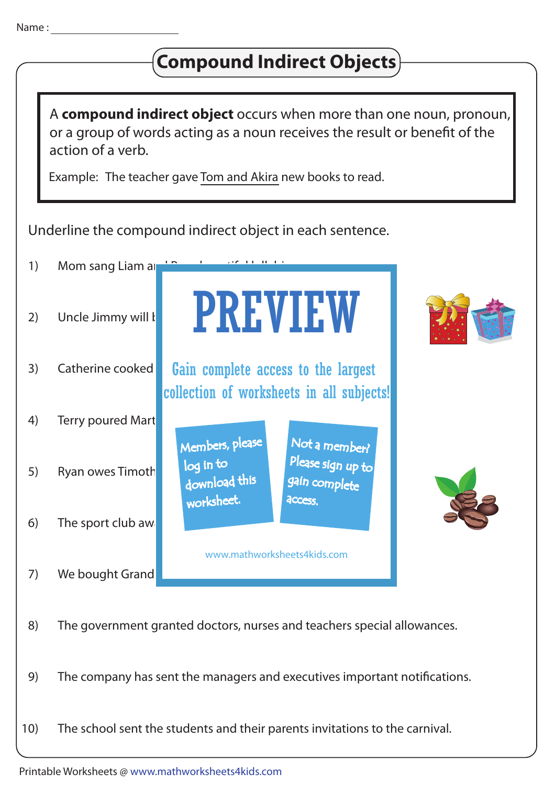## 1) Mom sang Liam and  $\mathsf{Hom}$ 2) Uncle Jimmy will bring Mom and Dad special Christmas gifts. When Dad special Christmas gifts. When Dad special Christmas gifts. When Dad special Christmas gifts. When Dad special Christmas gifts. When Dad special Christ 3) Catherine cooked **Gain complete access to the largest** 4) Terry poured Mart 5) Ryan owes Timoth 6) 7) We bought Grand 8) The government granted doctors, nurses and teachers special allowances. 9) The company has sent the managers and executives important notifications. The sport club award Underline the compound indirect object in each sentence. Example: The teacher gave Tom and Akira new books to read. A **compound indirect object** occurs when more than one noun, pronoun, or a group of words acting as a noun receives the result or benefit of the action of a verb. 10) The school sent the students and their parents invitations to the carnival. **Compound Indirect Objects** PREVIEW www.mathworksheets4kids.com Members, please download this worksheet. log in to Not a member? gain complete Please sign up to **access** collection of worksheets in all subjects!